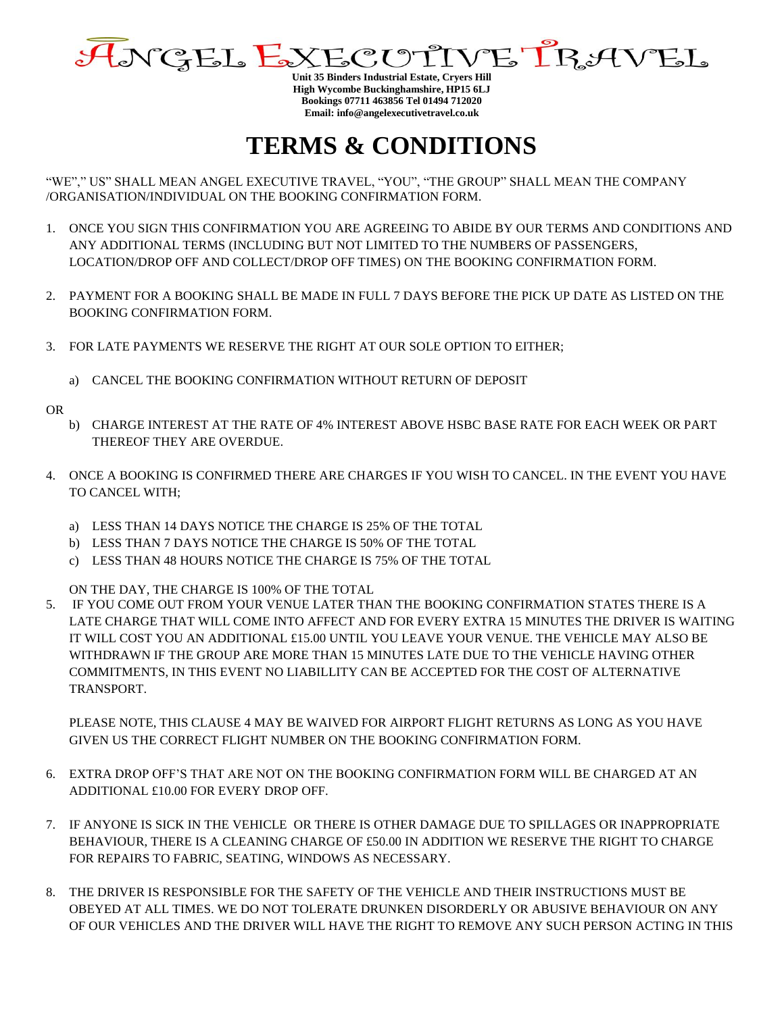

**Unit 35 Binders Industrial Estate, Cryers Hill High Wycombe Buckinghamshire, HP15 6LJ Bookings 07711 463856 Tel 01494 712020 Email: info@angelexecutivetravel.co.uk**

## **TERMS & CONDITIONS**

"WE"," US" SHALL MEAN ANGEL EXECUTIVE TRAVEL, "YOU", "THE GROUP" SHALL MEAN THE COMPANY /ORGANISATION/INDIVIDUAL ON THE BOOKING CONFIRMATION FORM.

- 1. ONCE YOU SIGN THIS CONFIRMATION YOU ARE AGREEING TO ABIDE BY OUR TERMS AND CONDITIONS AND ANY ADDITIONAL TERMS (INCLUDING BUT NOT LIMITED TO THE NUMBERS OF PASSENGERS, LOCATION/DROP OFF AND COLLECT/DROP OFF TIMES) ON THE BOOKING CONFIRMATION FORM.
- 2. PAYMENT FOR A BOOKING SHALL BE MADE IN FULL 7 DAYS BEFORE THE PICK UP DATE AS LISTED ON THE BOOKING CONFIRMATION FORM.
- 3. FOR LATE PAYMENTS WE RESERVE THE RIGHT AT OUR SOLE OPTION TO EITHER;
	- a) CANCEL THE BOOKING CONFIRMATION WITHOUT RETURN OF DEPOSIT

OR

- b) CHARGE INTEREST AT THE RATE OF 4% INTEREST ABOVE HSBC BASE RATE FOR EACH WEEK OR PART THEREOF THEY ARE OVERDUE.
- <span id="page-0-0"></span>4. ONCE A BOOKING IS CONFIRMED THERE ARE CHARGES IF YOU WISH TO CANCEL. IN THE EVENT YOU HAVE TO CANCEL WITH;
	- a) LESS THAN 14 DAYS NOTICE THE CHARGE IS 25% OF THE TOTAL
	- b) LESS THAN 7 DAYS NOTICE THE CHARGE IS 50% OF THE TOTAL
	- c) LESS THAN 48 HOURS NOTICE THE CHARGE IS 75% OF THE TOTAL

ON THE DAY, THE CHARGE IS 100% OF THE TOTAL

5. IF YOU COME OUT FROM YOUR VENUE LATER THAN THE BOOKING CONFIRMATION STATES THERE IS A LATE CHARGE THAT WILL COME INTO AFFECT AND FOR EVERY EXTRA 15 MINUTES THE DRIVER IS WAITING IT WILL COST YOU AN ADDITIONAL £15.00 UNTIL YOU LEAVE YOUR VENUE. THE VEHICLE MAY ALSO BE WITHDRAWN IF THE GROUP ARE MORE THAN 15 MINUTES LATE DUE TO THE VEHICLE HAVING OTHER COMMITMENTS, IN THIS EVENT NO LIABILLITY CAN BE ACCEPTED FOR THE COST OF ALTERNATIVE TRANSPORT.

PLEASE NOTE, THIS CLAUSE [4](#page-0-0) MAY BE WAIVED FOR AIRPORT FLIGHT RETURNS AS LONG AS YOU HAVE GIVEN US THE CORRECT FLIGHT NUMBER ON THE BOOKING CONFIRMATION FORM.

- 6. EXTRA DROP OFF'S THAT ARE NOT ON THE BOOKING CONFIRMATION FORM WILL BE CHARGED AT AN ADDITIONAL £10.00 FOR EVERY DROP OFF.
- 7. IF ANYONE IS SICK IN THE VEHICLE OR THERE IS OTHER DAMAGE DUE TO SPILLAGES OR INAPPROPRIATE BEHAVIOUR, THERE IS A CLEANING CHARGE OF £50.00 IN ADDITION WE RESERVE THE RIGHT TO CHARGE FOR REPAIRS TO FABRIC, SEATING, WINDOWS AS NECESSARY.
- 8. THE DRIVER IS RESPONSIBLE FOR THE SAFETY OF THE VEHICLE AND THEIR INSTRUCTIONS MUST BE OBEYED AT ALL TIMES. WE DO NOT TOLERATE DRUNKEN DISORDERLY OR ABUSIVE BEHAVIOUR ON ANY OF OUR VEHICLES AND THE DRIVER WILL HAVE THE RIGHT TO REMOVE ANY SUCH PERSON ACTING IN THIS